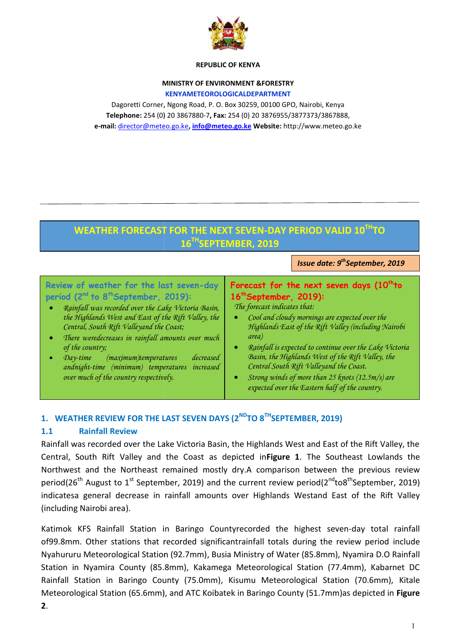

## **REPUBLIC OF KENYA**

## **MINISTRY OF ENVIRONMENT &FORESTRY**

### **KENYAMETEOROLOGICALDEPARTMENT**

Dagoretti Corner, Ngong Road, P. O. Box 30259, 00100 GPO, Nairobi, Kenya **Telephone:** 254 (0) 20 3867880-7**, Fax:** 254 (0) 20 3876955/3877373/3867888, **e-mail:** director@meteo.go.ke**, info@meteo.go.ke Website:** http://www.meteo.go.ke

## *I*ssue date: 9<sup>th</sup>September, 2019 **WEATHER FORECAST FOR THE NEXT SEVEN-DAY PERIOD VALID 10THTO 16THSEPTEMBER, 2019**

# **Review of weather for the last seven-day seven-day8thperiod (2 nd to 8 thSeptember, 2019):** *Rainfall was recorded over the Lake Victoria Basin, Rainfall was recorded over the Lake Victoria Basin,*  $\begin{bmatrix} T_i & T_i \end{bmatrix}$ <br>the Highlands West and East of the Rift Valley, the *Central, South Rift Valleyand the Coast; There weredecreases in rainfall amounts over much of the country; Day-time (maximum)temperatures decreased andnight-time (minimum) temperatures increased* **Forecast for the next seven days (10thto 16thSeptember, 2019):** *The forecast indicates that: Cool and cloudy mornings are expected over the Highlands East of the Rift Valley (including Nairobi area) Rainfall is expected to continue over the Lake Victoria Basin, the Highlands West of the Rift Valley, the Central South Rift Valleyand the Coast.* MHISTN POET WHOMEWART CONDUCTION CONTINUESTRY<br>
Deported Comes Results on the Consumer Consumer Consumer Consumer Technology (National Pressure Consumer Technology (National Pressure Consumer Technology (National Pressure C **Example 10 and September, 2019):**<br> **Forecast for the next seven days (10**<br> **Example 16<sup>th</sup> September, 2019):**<br> *Mas West and East of the Rift Valley, the*<br> **Forecast indicates that:**<br> *The forecast indicates that:*<br> *Cool* **St for the next seven days**<br> **St for the next seven days**<br> **Stember, 2019):**<br> *Cand cloudy mornings are expected ove<br>
hlands East of the Rift Valley (includin)*<br> *nfall is expected to continue over the L*<br> *in, the Highl*

 *Strong winds of more than 25 knots (12.5m/s) are expected over the Eastern half of the country.*

## $1.$  **WEATHER REVIEW FOR THE LAST SEVEN DAYS (2<sup>ND</sup>TO 8<sup>TH</sup>SEPTEMBER, 2019)**

#### **1.1 Rainfall Review 1.1**

*over much of the country respectively.*

Rainfall was recorded over the Lake Victoria Basin, the Highlands West and East of the Rift Valley, the Rainfall was recorded over the Lake Victoria Basin, the Highlands West and East of the Rift Valley, the<br>Central, South Rift Valley and the Coast as depicted in**Figure 1**. The Southeast Lowlands the Northwest and the Northeast remained mostly dry.A comparison between the previous review period(26<sup>th</sup> August to 1<sup>st</sup> September, 2019) and the current review period(2<sup>nd</sup>to8<sup>th</sup>September, 2019) period(26<sup>tn</sup> August to 1<sup>st</sup> September, 2019) and the current review period(2<sup>na</sup>to8<sup>tn</sup>September, 2019)<br>indicatesa general decrease in rainfall amounts over Highlands Westand East of the Rift Valley (including Nairobi area).

Katimok KFS Rainfall Station in Baringo Countyrecorded the highest seven-day total rainfall of99.8mm. Other stations that recorded significantrainfall totals during the review period include Nyahururu Meteorological Station (92.7mm), Busia Ministry of Water (85.8mm), Nyamira D.O Rainfall Station in Nyamira County (85.8mm), Kakamega Meteorological Station (77.4mm), Kabarnet DC Rainfall Station in Baringo County (75.0mm), Kisumu Meteorological Station (70.6mm), Kitale Meteorological Station (65.6mm), and ATC Koibatek in Baringo County (51.7mm)as depicted in **Figure** Nyahururu Meteorological Station (92.7mm), Busia Ministry of Water (85.8mm), Nyamira D.O Rainfall<br>Station in Nyamira County (85.8mm), Kakamega Meteorological Station (77.4mm), Kabarnet DC<br>Rainfall Station in Baringo County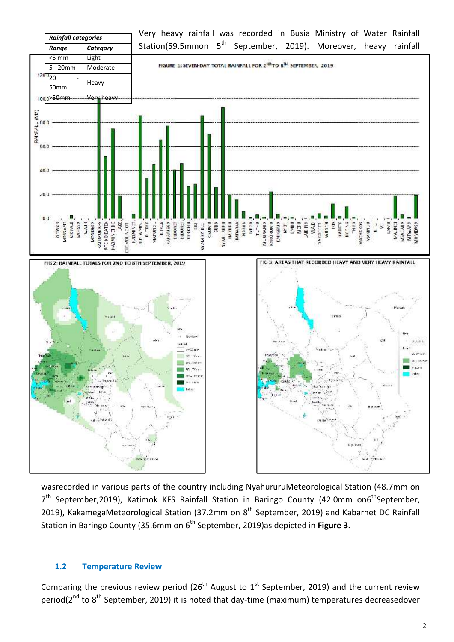

wasrecorded in various parts of the country including NyahururuMeteorological Station (48.7mm on 7<sup>th</sup> September,2019), Katimok KFS Rainfall Station in Baringo County (42.0mm on6<sup>th</sup>September, 2019), KakamegaMeteorological Station (37.2mm on 8<sup>th</sup> September, 2019) and Kabarnet DC Rainfall Station in Baringo County (35.6mm on 6 th September, 2019)as depicted in **Figure 3**.

## **1.2 Temperature Review 1.2Review**

Comparing the previous review period (26<sup>th</sup> August to 1<sup>st</sup> September, 2019) and the current review period(2<sup>nd</sup> to 8<sup>th</sup> September, 2019) it is noted that day-time (maximum) temperatures decreasedover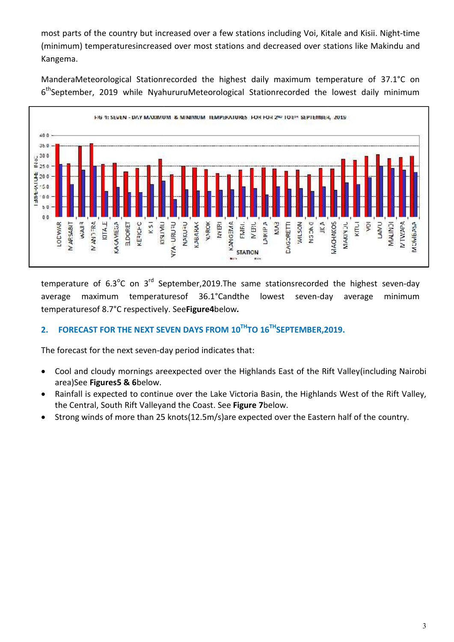most parts of the country but increased over a few stations including Voi, Kitale and Kisii. Night-time most parts of the country but increased over a few stations including Voi, Kitale and Kisii. Night-time<br>(minimum) temperaturesincreased over most stations and decreased over stations like Makindu and Kangema.

ManderaMeteorological Stationrecorded the highest daily maximum temperature of 37.1°C on ManderaMeteorological Stationrecorded the highest daily maximum temperature of 37.1°C on<br>6<sup>th</sup>September, 2019 while NyahururuMeteorological Stationrecorded the lowest daily minimum



temperature of 6.3<sup>o</sup>C on 3<sup>rd</sup> September,2019. The same stationsrecorded the highest seven-day average maximum temperaturesof 36.1°Candthe lowest seven-day average minimum temperaturesof 8.7°C respectively. See**Figure4**below.

## **2. FORECAST FOR THE NEXT SEVEN DAYS FROM 10THTO 16THSEPTEMBER,2019. FROMSEPTEMBER,2019.**

The forecast for the next seven-day period indicates that:

- Cool and cloudy mornings areexpected over the Highlands East of the Rift Valley(including Nairobi area)See **Figures5 & 6**below.
- Rainfall is expected to continue over the Lake Victoria Basin, the Highlands West of the Rift Valley, the Central, South Rift Valleyand the Coast. See **Figure 7**below.
- Strong winds of more than 25 knots(12.5m/s)are expected over the Eastern half of the country.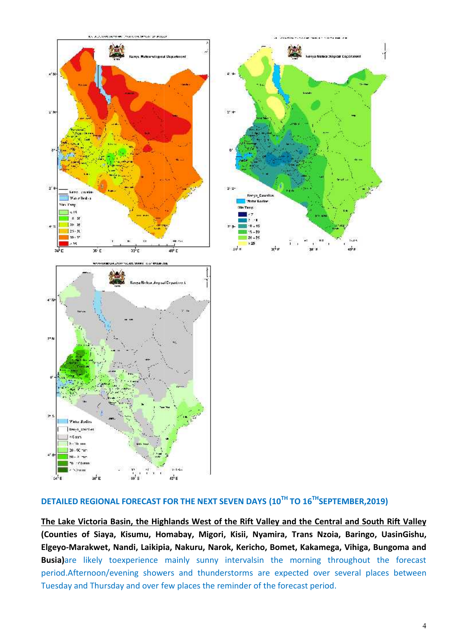

## **DETAILED REGIONAL FORECAST FOR THE NEXT SEVEN DAYS (10TH TO 16THSEPTEMBER,2019)**

**The Lake Victoria Basin, the Highlands West of the Rift Valley and the Central and South Rift Valley (Counties of Siaya, Kisumu, Homabay, Migori, Kisii, Nyamira, Trans Nzoia, Baringo, UasinGishu, Elgeyo-Marakwet, Nandi, Laikipia, Nakuru, Narok, Kericho, Bomet, Kakamega, Vihiga, Bungoma and** Busia)are likely toexperience mainly sunny intervalsin the morning throughout the forecast period.Afternoon/evening showers and thunderstorms are expected over several places between Tuesday and Thursday and over few places the reminder of the forecast period. AILED REGIONAL FORECAST FOR THE NEXT SEVEN DAYS (10<sup>TH</sup> TO 16<sup>TH</sup>SEPTEMBER,2019)<br>Lake Victoria Basin, the Highlands West of the Rift Valley and the Central and South Rift Va<br>Inties of Siaya, Kisumu, Homabay, Migori, Kisii,